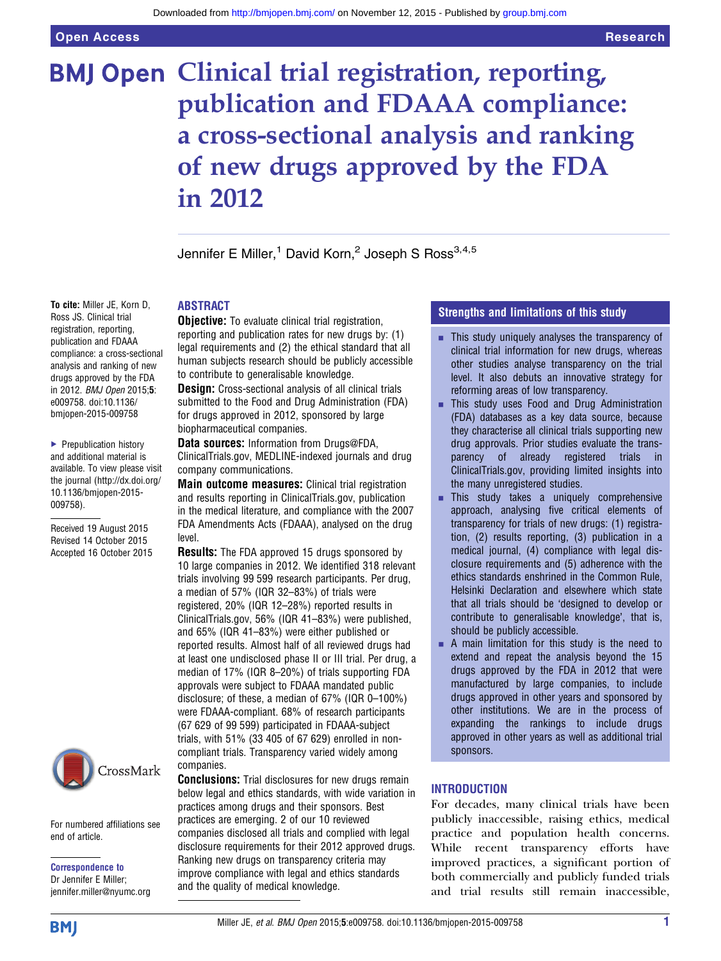# BMJ Open Clinical trial registration, reporting, publication and FDAAA compliance: a cross-sectional analysis and ranking of new drugs approved by the FDA in 2012

Jennifer E Miller,<sup>1</sup> David Korn,<sup>2</sup> Joseph S Ross<sup>3,4,5</sup>

# ABSTRACT

**Objective:** To evaluate clinical trial registration, reporting and publication rates for new drugs by: (1) legal requirements and (2) the ethical standard that all human subjects research should be publicly accessible to contribute to generalisable knowledge.

**Design:** Cross-sectional analysis of all clinical trials submitted to the Food and Drug Administration (FDA) for drugs approved in 2012, sponsored by large biopharmaceutical companies.

Data sources: Information from Drugs@FDA, ClinicalTrials.gov, MEDLINE-indexed journals and drug company communications.

Main outcome measures: Clinical trial registration and results reporting in ClinicalTrials.gov, publication in the medical literature, and compliance with the 2007 FDA Amendments Acts (FDAAA), analysed on the drug level.

**Results:** The FDA approved 15 drugs sponsored by 10 large companies in 2012. We identified 318 relevant trials involving 99 599 research participants. Per drug, a median of 57% (IQR 32–83%) of trials were registered, 20% (IQR 12–28%) reported results in ClinicalTrials.gov, 56% (IQR 41–83%) were published, and 65% (IQR 41–83%) were either published or reported results. Almost half of all reviewed drugs had at least one undisclosed phase II or III trial. Per drug, a median of 17% (IQR 8–20%) of trials supporting FDA approvals were subject to FDAAA mandated public disclosure; of these, a median of 67% (IQR 0–100%) were FDAAA-compliant. 68% of research participants (67 629 of 99 599) participated in FDAAA-subject trials, with 51% (33 405 of 67 629) enrolled in noncompliant trials. Transparency varied widely among companies.

**Conclusions:** Trial disclosures for new drugs remain below legal and ethics standards, with wide variation in practices among drugs and their sponsors. Best practices are emerging. 2 of our 10 reviewed companies disclosed all trials and complied with legal disclosure requirements for their 2012 approved drugs. Ranking new drugs on transparency criteria may improve compliance with legal and ethics standards and the quality of medical knowledge.

# Strengths and limitations of this study

- $\blacksquare$  This study uniquely analyses the transparency of clinical trial information for new drugs, whereas other studies analyse transparency on the trial level. It also debuts an innovative strategy for reforming areas of low transparency.
- This study uses Food and Drug Administration (FDA) databases as a key data source, because they characterise all clinical trials supporting new drug approvals. Prior studies evaluate the transparency of already registered trials in ClinicalTrials.gov, providing limited insights into the many unregistered studies.
- **EXECUTE:** This study takes a uniquely comprehensive approach, analysing five critical elements of transparency for trials of new drugs: (1) registration, (2) results reporting, (3) publication in a medical journal, (4) compliance with legal disclosure requirements and (5) adherence with the ethics standards enshrined in the Common Rule, Helsinki Declaration and elsewhere which state that all trials should be 'designed to develop or contribute to generalisable knowledge', that is, should be publicly accessible.
- $\blacksquare$  A main limitation for this study is the need to extend and repeat the analysis beyond the 15 drugs approved by the FDA in 2012 that were manufactured by large companies, to include drugs approved in other years and sponsored by other institutions. We are in the process of expanding the rankings to include drugs approved in other years as well as additional trial sponsors.

# **INTRODUCTION**

For decades, many clinical trials have been publicly inaccessible, raising ethics, medical practice and population health concerns. While recent transparency efforts have improved practices, a significant portion of both commercially and publicly funded trials and trial results still remain inaccessible,

To cite: Miller JE, Korn D, Ross JS. Clinical trial registration, reporting, publication and FDAAA compliance: a cross-sectional analysis and ranking of new drugs approved by the FDA in 2012. BMJ Open 2015;5: e009758. doi:10.1136/ bmjopen-2015-009758

▶ Prepublication history and additional material is available. To view please visit the journal [\(http://dx.doi.org/](http://dx.doi.org/10.1136/bmjopen-2015-009758) [10.1136/bmjopen-2015-](http://dx.doi.org/10.1136/bmjopen-2015-009758) [009758\)](http://dx.doi.org/10.1136/bmjopen-2015-009758).

Received 19 August 2015 Revised 14 October 2015 Accepted 16 October 2015



For numbered affiliations see end of article.

Correspondence to Dr Jennifer E Miller; jennifer.miller@nyumc.org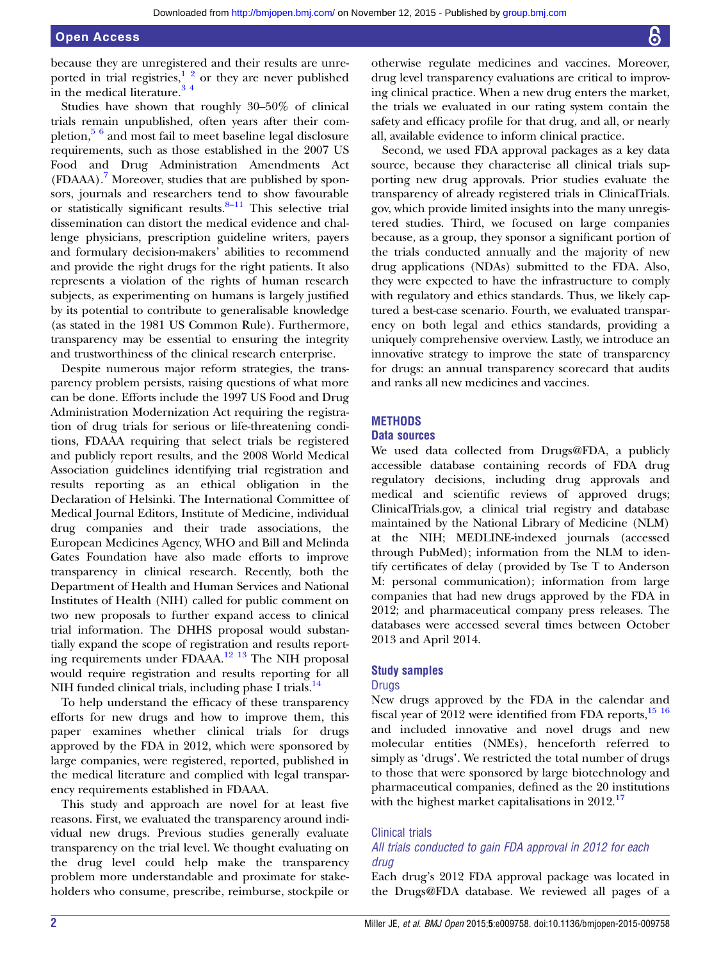because they are unregistered and their results are unreported in trial registries, $\frac{1}{2}$  or they are never published in the medical literature.<sup>34</sup>

Studies have shown that roughly 30–50% of clinical trials remain unpublished, often years after their completion, $5\,6\,$  and most fail to meet baseline legal disclosure requirements, such as those established in the 2007 US Food and Drug Administration Amendments Act  $(FDAAA)$ .<sup>[7](#page-7-0)</sup> Moreover, studies that are published by sponsors, journals and researchers tend to show favourable or statistically significant results. $8-11$  $8-11$  This selective trial dissemination can distort the medical evidence and challenge physicians, prescription guideline writers, payers and formulary decision-makers' abilities to recommend and provide the right drugs for the right patients. It also represents a violation of the rights of human research subjects, as experimenting on humans is largely justified by its potential to contribute to generalisable knowledge (as stated in the 1981 US Common Rule). Furthermore, transparency may be essential to ensuring the integrity and trustworthiness of the clinical research enterprise.

Despite numerous major reform strategies, the transparency problem persists, raising questions of what more can be done. Efforts include the 1997 US Food and Drug Administration Modernization Act requiring the registration of drug trials for serious or life-threatening conditions, FDAAA requiring that select trials be registered and publicly report results, and the 2008 World Medical Association guidelines identifying trial registration and results reporting as an ethical obligation in the Declaration of Helsinki. The International Committee of Medical Journal Editors, Institute of Medicine, individual drug companies and their trade associations, the European Medicines Agency, WHO and Bill and Melinda Gates Foundation have also made efforts to improve transparency in clinical research. Recently, both the Department of Health and Human Services and National Institutes of Health (NIH) called for public comment on two new proposals to further expand access to clinical trial information. The DHHS proposal would substantially expand the scope of registration and results reporting requirements under FDAAA.[12 13](#page-7-0) The NIH proposal would require registration and results reporting for all NIH funded clinical trials, including phase I trials. $^{14}$  $^{14}$  $^{14}$ 

To help understand the efficacy of these transparency efforts for new drugs and how to improve them, this paper examines whether clinical trials for drugs approved by the FDA in 2012, which were sponsored by large companies, were registered, reported, published in the medical literature and complied with legal transparency requirements established in FDAAA.

This study and approach are novel for at least five reasons. First, we evaluated the transparency around individual new drugs. Previous studies generally evaluate transparency on the trial level. We thought evaluating on the drug level could help make the transparency problem more understandable and proximate for stakeholders who consume, prescribe, reimburse, stockpile or

otherwise regulate medicines and vaccines. Moreover, drug level transparency evaluations are critical to improving clinical practice. When a new drug enters the market, the trials we evaluated in our rating system contain the safety and efficacy profile for that drug, and all, or nearly all, available evidence to inform clinical practice.

Second, we used FDA approval packages as a key data source, because they characterise all clinical trials supporting new drug approvals. Prior studies evaluate the transparency of already registered trials in ClinicalTrials. gov, which provide limited insights into the many unregistered studies. Third, we focused on large companies because, as a group, they sponsor a significant portion of the trials conducted annually and the majority of new drug applications (NDAs) submitted to the FDA. Also, they were expected to have the infrastructure to comply with regulatory and ethics standards. Thus, we likely captured a best-case scenario. Fourth, we evaluated transparency on both legal and ethics standards, providing a uniquely comprehensive overview. Lastly, we introduce an innovative strategy to improve the state of transparency for drugs: an annual transparency scorecard that audits and ranks all new medicines and vaccines.

#### **METHODS**

#### Data sources

We used data collected from Drugs@FDA, a publicly accessible database containing records of FDA drug regulatory decisions, including drug approvals and medical and scientific reviews of approved drugs; ClinicalTrials.gov, a clinical trial registry and database maintained by the National Library of Medicine (NLM) at the NIH; MEDLINE-indexed journals (accessed through PubMed); information from the NLM to identify certificates of delay (provided by Tse T to Anderson M: personal communication); information from large companies that had new drugs approved by the FDA in 2012; and pharmaceutical company press releases. The databases were accessed several times between October 2013 and April 2014.

#### Study samples

#### Drugs

New drugs approved by the FDA in the calendar and fiscal year of 2012 were identified from FDA reports,<sup>[15 16](#page-7-0)</sup> and included innovative and novel drugs and new molecular entities (NMEs), henceforth referred to simply as 'drugs'. We restricted the total number of drugs to those that were sponsored by large biotechnology and pharmaceutical companies, defined as the 20 institutions with the highest market capitalisations in  $2012$ .<sup>[17](#page-7-0)</sup>

#### Clinical trials

All trials conducted to gain FDA approval in 2012 for each drug

Each drug's 2012 FDA approval package was located in the Drugs@FDA database. We reviewed all pages of a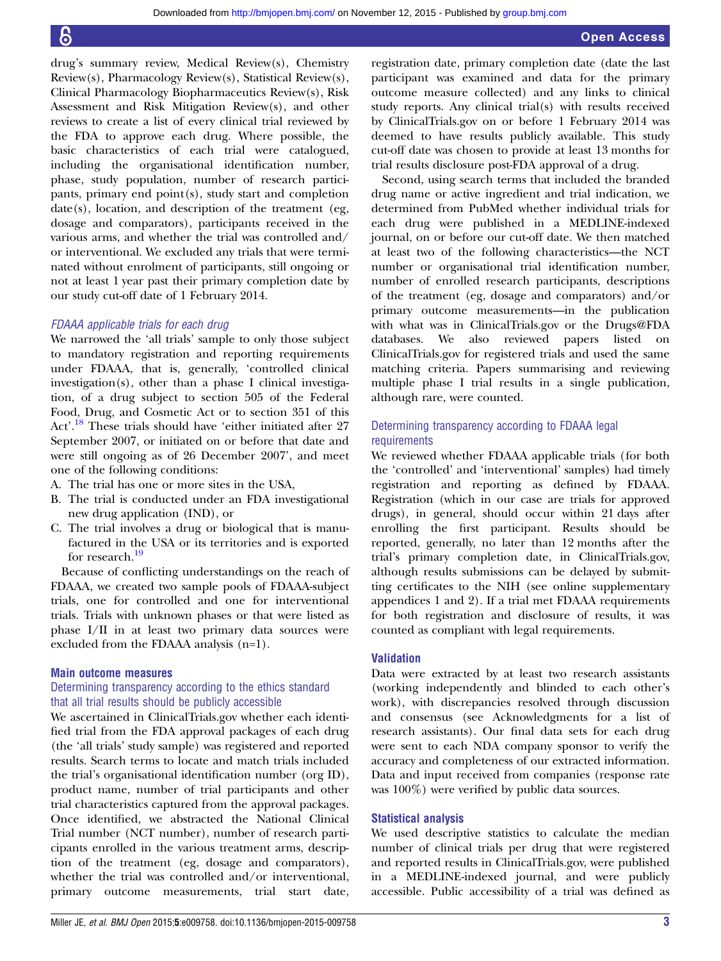drug's summary review, Medical Review(s), Chemistry Review(s), Pharmacology Review(s), Statistical Review(s), Clinical Pharmacology Biopharmaceutics Review(s), Risk Assessment and Risk Mitigation Review(s), and other reviews to create a list of every clinical trial reviewed by the FDA to approve each drug. Where possible, the basic characteristics of each trial were catalogued, including the organisational identification number, phase, study population, number of research participants, primary end point(s), study start and completion date(s), location, and description of the treatment (eg, dosage and comparators), participants received in the various arms, and whether the trial was controlled and/ or interventional. We excluded any trials that were terminated without enrolment of participants, still ongoing or not at least 1 year past their primary completion date by our study cut-off date of 1 February 2014.

#### FDAAA applicable trials for each drug

We narrowed the 'all trials' sample to only those subject to mandatory registration and reporting requirements under FDAAA, that is, generally, 'controlled clinical investigation(s), other than a phase I clinical investigation, of a drug subject to section 505 of the Federal Food, Drug, and Cosmetic Act or to section 351 of this Act'.<sup>[18](#page-7-0)</sup> These trials should have 'either initiated after 27 September 2007, or initiated on or before that date and were still ongoing as of 26 December 2007', and meet one of the following conditions:

- A. The trial has one or more sites in the USA,
- B. The trial is conducted under an FDA investigational new drug application (IND), or
- C. The trial involves a drug or biological that is manufactured in the USA or its territories and is exported for research.<sup>[19](#page-7-0)</sup>

Because of conflicting understandings on the reach of FDAAA, we created two sample pools of FDAAA-subject trials, one for controlled and one for interventional trials. Trials with unknown phases or that were listed as phase I/II in at least two primary data sources were excluded from the FDAAA analysis (n=1).

#### Main outcome measures

# Determining transparency according to the ethics standard that all trial results should be publicly accessible

We ascertained in ClinicalTrials.gov whether each identified trial from the FDA approval packages of each drug (the 'all trials' study sample) was registered and reported results. Search terms to locate and match trials included the trial's organisational identification number (org ID), product name, number of trial participants and other trial characteristics captured from the approval packages. Once identified, we abstracted the National Clinical Trial number (NCT number), number of research participants enrolled in the various treatment arms, description of the treatment (eg, dosage and comparators), whether the trial was controlled and/or interventional, primary outcome measurements, trial start date,

registration date, primary completion date (date the last participant was examined and data for the primary outcome measure collected) and any links to clinical study reports. Any clinical trial(s) with results received by ClinicalTrials.gov on or before 1 February 2014 was deemed to have results publicly available. This study cut-off date was chosen to provide at least 13 months for trial results disclosure post-FDA approval of a drug.

Second, using search terms that included the branded drug name or active ingredient and trial indication, we determined from PubMed whether individual trials for each drug were published in a MEDLINE-indexed journal, on or before our cut-off date. We then matched at least two of the following characteristics—the NCT number or organisational trial identification number, number of enrolled research participants, descriptions of the treatment (eg, dosage and comparators) and/or primary outcome measurements—in the publication with what was in ClinicalTrials.gov or the Drugs@FDA databases. We also reviewed papers listed on ClinicalTrials.gov for registered trials and used the same matching criteria. Papers summarising and reviewing multiple phase I trial results in a single publication, although rare, were counted.

# Determining transparency according to FDAAA legal requirements

We reviewed whether FDAAA applicable trials (for both the 'controlled' and 'interventional' samples) had timely registration and reporting as defined by FDAAA. Registration (which in our case are trials for approved drugs), in general, should occur within 21 days after enrolling the first participant. Results should be reported, generally, no later than 12 months after the trial's primary completion date, in ClinicalTrials.gov, although results submissions can be delayed by submitting certificates to the NIH (see online supplementary appendices 1 and 2). If a trial met FDAAA requirements for both registration and disclosure of results, it was counted as compliant with legal requirements.

#### Validation

Data were extracted by at least two research assistants (working independently and blinded to each other's work), with discrepancies resolved through discussion and consensus (see Acknowledgments for a list of research assistants). Our final data sets for each drug were sent to each NDA company sponsor to verify the accuracy and completeness of our extracted information. Data and input received from companies (response rate was 100%) were verified by public data sources.

#### Statistical analysis

We used descriptive statistics to calculate the median number of clinical trials per drug that were registered and reported results in ClinicalTrials.gov, were published in a MEDLINE-indexed journal, and were publicly accessible. Public accessibility of a trial was defined as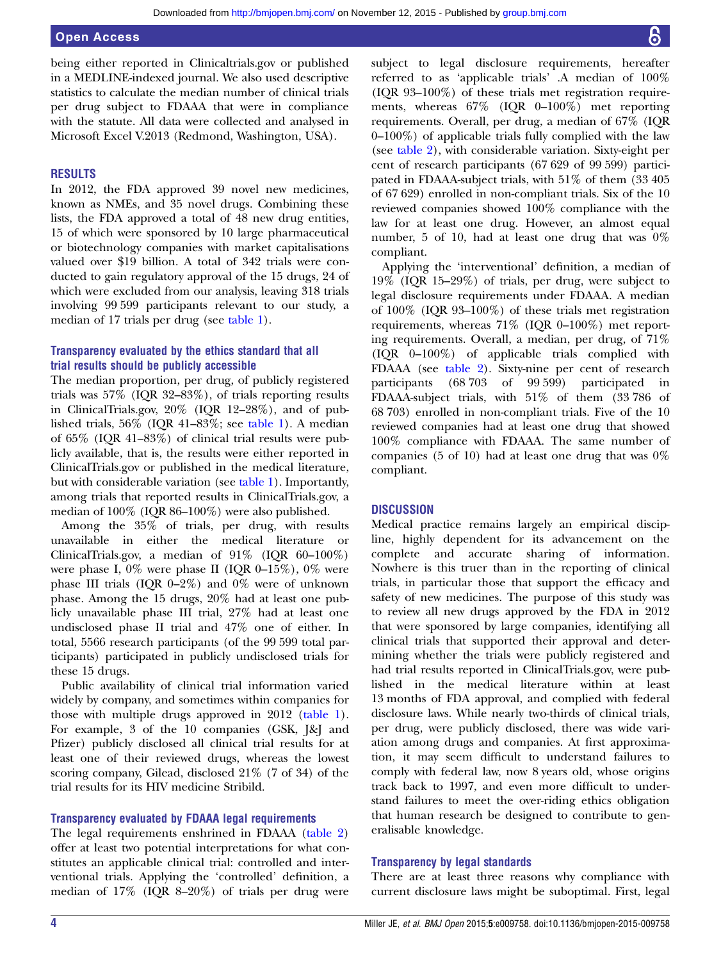being either reported in Clinicaltrials.gov or published in a MEDLINE-indexed journal. We also used descriptive statistics to calculate the median number of clinical trials per drug subject to FDAAA that were in compliance with the statute. All data were collected and analysed in Microsoft Excel V.2013 (Redmond, Washington, USA).

#### RESULTS

In 2012, the FDA approved 39 novel new medicines, known as NMEs, and 35 novel drugs. Combining these lists, the FDA approved a total of 48 new drug entities, 15 of which were sponsored by 10 large pharmaceutical or biotechnology companies with market capitalisations valued over \$19 billion. A total of 342 trials were conducted to gain regulatory approval of the 15 drugs, 24 of which were excluded from our analysis, leaving 318 trials involving 99 599 participants relevant to our study, a median of 17 trials per drug (see [table 1\)](#page-4-0).

#### Transparency evaluated by the ethics standard that all trial results should be publicly accessible

The median proportion, per drug, of publicly registered trials was 57% (IQR 32–83%), of trials reporting results in ClinicalTrials.gov, 20% (IQR 12–28%), and of published trials, 56% (IQR 41–83%; see [table 1\)](#page-4-0). A median of 65% (IQR 41–83%) of clinical trial results were publicly available, that is, the results were either reported in ClinicalTrials.gov or published in the medical literature, but with considerable variation (see [table 1](#page-4-0)). Importantly, among trials that reported results in ClinicalTrials.gov, a median of 100% (IQR 86–100%) were also published.

Among the 35% of trials, per drug, with results unavailable in either the medical literature or ClinicalTrials.gov, a median of 91% (IQR 60–100%) were phase I, 0% were phase II (IQR 0–15%), 0% were phase III trials (IQR  $0-2\%$ ) and  $0\%$  were of unknown phase. Among the 15 drugs, 20% had at least one publicly unavailable phase III trial, 27% had at least one undisclosed phase II trial and 47% one of either. In total, 5566 research participants (of the 99 599 total participants) participated in publicly undisclosed trials for these 15 drugs.

Public availability of clinical trial information varied widely by company, and sometimes within companies for those with multiple drugs approved in 2012 [\(table 1\)](#page-4-0). For example, 3 of the 10 companies (GSK, J&J and Pfizer) publicly disclosed all clinical trial results for at least one of their reviewed drugs, whereas the lowest scoring company, Gilead, disclosed 21% (7 of 34) of the trial results for its HIV medicine Stribild.

#### Transparency evaluated by FDAAA legal requirements

The legal requirements enshrined in FDAAA [\(table 2](#page-5-0)) offer at least two potential interpretations for what constitutes an applicable clinical trial: controlled and interventional trials. Applying the 'controlled' definition, a median of 17% (IQR 8–20%) of trials per drug were

subject to legal disclosure requirements, hereafter referred to as 'applicable trials' .A median of 100% (IQR 93–100%) of these trials met registration requirements, whereas 67% (IQR 0–100%) met reporting requirements. Overall, per drug, a median of 67% (IQR 0–100%) of applicable trials fully complied with the law (see [table 2\)](#page-5-0), with considerable variation. Sixty-eight per cent of research participants (67 629 of 99 599) participated in FDAAA-subject trials, with 51% of them (33 405 of 67 629) enrolled in non-compliant trials. Six of the 10 reviewed companies showed 100% compliance with the law for at least one drug. However, an almost equal number, 5 of 10, had at least one drug that was 0% compliant.

Applying the 'interventional' definition, a median of 19% (IQR 15–29%) of trials, per drug, were subject to legal disclosure requirements under FDAAA. A median of 100% (IQR 93–100%) of these trials met registration requirements, whereas 71% (IQR 0–100%) met reporting requirements. Overall, a median, per drug, of 71% (IQR 0–100%) of applicable trials complied with FDAAA (see [table 2](#page-5-0)). Sixty-nine per cent of research participants (68 703 of 99 599) participated in FDAAA-subject trials, with 51% of them (33 786 of 68 703) enrolled in non-compliant trials. Five of the 10 reviewed companies had at least one drug that showed 100% compliance with FDAAA. The same number of companies (5 of 10) had at least one drug that was 0% compliant.

#### **DISCUSSION**

Medical practice remains largely an empirical discipline, highly dependent for its advancement on the complete and accurate sharing of information. Nowhere is this truer than in the reporting of clinical trials, in particular those that support the efficacy and safety of new medicines. The purpose of this study was to review all new drugs approved by the FDA in 2012 that were sponsored by large companies, identifying all clinical trials that supported their approval and determining whether the trials were publicly registered and had trial results reported in ClinicalTrials.gov, were published in the medical literature within at least 13 months of FDA approval, and complied with federal disclosure laws. While nearly two-thirds of clinical trials, per drug, were publicly disclosed, there was wide variation among drugs and companies. At first approximation, it may seem difficult to understand failures to comply with federal law, now 8 years old, whose origins track back to 1997, and even more difficult to understand failures to meet the over-riding ethics obligation that human research be designed to contribute to generalisable knowledge.

#### Transparency by legal standards

There are at least three reasons why compliance with current disclosure laws might be suboptimal. First, legal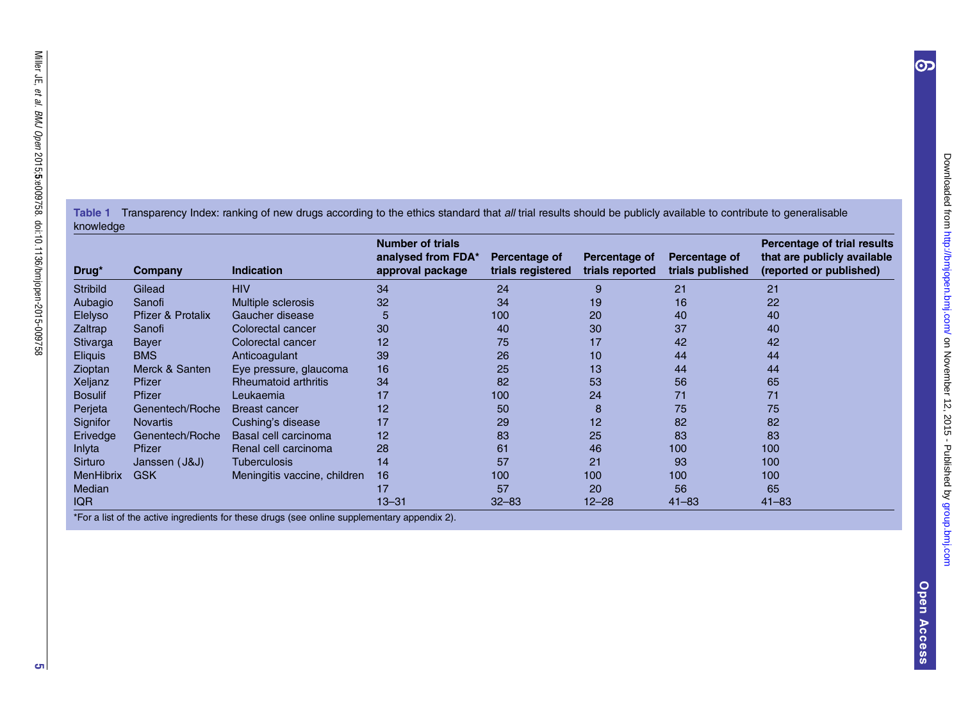| りんこころくろう こうこここ                                                                                                                      |
|-------------------------------------------------------------------------------------------------------------------------------------|
| i                                                                                                                                   |
| סיין, פייסטיסיים איין אין פייסטיים אין אין פייסטיים אין אין פייסטיים וואסטיים אין אין פייסטיים וואסטיים וואסטי<br><b>1)</b> 2011/23 |
| ن<br>ا<br>ا                                                                                                                         |
| )<br>5<br>5<br>5<br>\$                                                                                                              |

 $\overline{\mathbf{O}}$ 

<span id="page-4-0"></span>Table 1 Transparency Index: ranking of new drugs according to the ethics standard that all trial results should be publicly available to contribute to generalisable knowledge

| Drug*            | Company                      | <b>Indication</b>            | <b>Number of trials</b><br>analysed from FDA*<br>approval package | Percentage of<br>trials registered | Percentage of<br>trials reported | Percentage of<br>trials published | Percentage of trial results<br>that are publicly available<br>(reported or published) |
|------------------|------------------------------|------------------------------|-------------------------------------------------------------------|------------------------------------|----------------------------------|-----------------------------------|---------------------------------------------------------------------------------------|
| <b>Stribild</b>  | Gilead                       | <b>HIV</b>                   | 34                                                                | 24                                 | 9                                | 21                                | 21                                                                                    |
| Aubagio          | Sanofi                       | Multiple sclerosis           | 32                                                                | 34                                 | 19                               | 16                                | 22                                                                                    |
| Elelyso          | <b>Pfizer &amp; Protalix</b> | Gaucher disease              | 5                                                                 | 100                                | 20                               | 40                                | 40                                                                                    |
| Zaltrap          | Sanofi                       | Colorectal cancer            | 30                                                                | 40                                 | 30                               | 37                                | 40                                                                                    |
| Stivarga         | <b>Bayer</b>                 | Colorectal cancer            | 12                                                                | 75                                 | 17                               | 42                                | 42                                                                                    |
| <b>Eliquis</b>   | <b>BMS</b>                   | Anticoagulant                | 39                                                                | 26                                 | 10                               | 44                                | 44                                                                                    |
| Zioptan          | Merck & Santen               | Eye pressure, glaucoma       | 16                                                                | 25                                 | 13                               | 44                                | 44                                                                                    |
| Xeljanz          | Pfizer                       | <b>Rheumatoid arthritis</b>  | 34                                                                | 82                                 | 53                               | 56                                | 65                                                                                    |
| <b>Bosulif</b>   | Pfizer                       | Leukaemia                    | 17                                                                | 100                                | 24                               | 71                                | 71                                                                                    |
| Perjeta          | Genentech/Roche              | Breast cancer                | 12                                                                | 50                                 | 8                                | 75                                | 75                                                                                    |
| Signifor         | <b>Novartis</b>              | Cushing's disease            | 17                                                                | 29                                 | 12                               | 82                                | 82                                                                                    |
| Erivedge         | Genentech/Roche              | Basal cell carcinoma         | 12                                                                | 83                                 | 25                               | 83                                | 83                                                                                    |
| Inlyta           | Pfizer                       | Renal cell carcinoma         | 28                                                                | 61                                 | 46                               | 100                               | 100                                                                                   |
| Sirturo          | Janssen (J&J)                | <b>Tuberculosis</b>          | 14                                                                | 57                                 | 21                               | 93                                | 100                                                                                   |
| <b>MenHibrix</b> | <b>GSK</b>                   | Meningitis vaccine, children | 16                                                                | 100                                | 100                              | 100                               | 100                                                                                   |
| Median           |                              |                              | 17                                                                | 57                                 | 20                               | 56                                | 65                                                                                    |
| <b>IQR</b>       |                              |                              | $13 - 31$                                                         | $32 - 83$                          | $12 - 28$                        | $41 - 83$                         | $41 - 83$                                                                             |

\*For <sup>a</sup> list of the active ingredients for these drugs (see online supplementary appendix 2).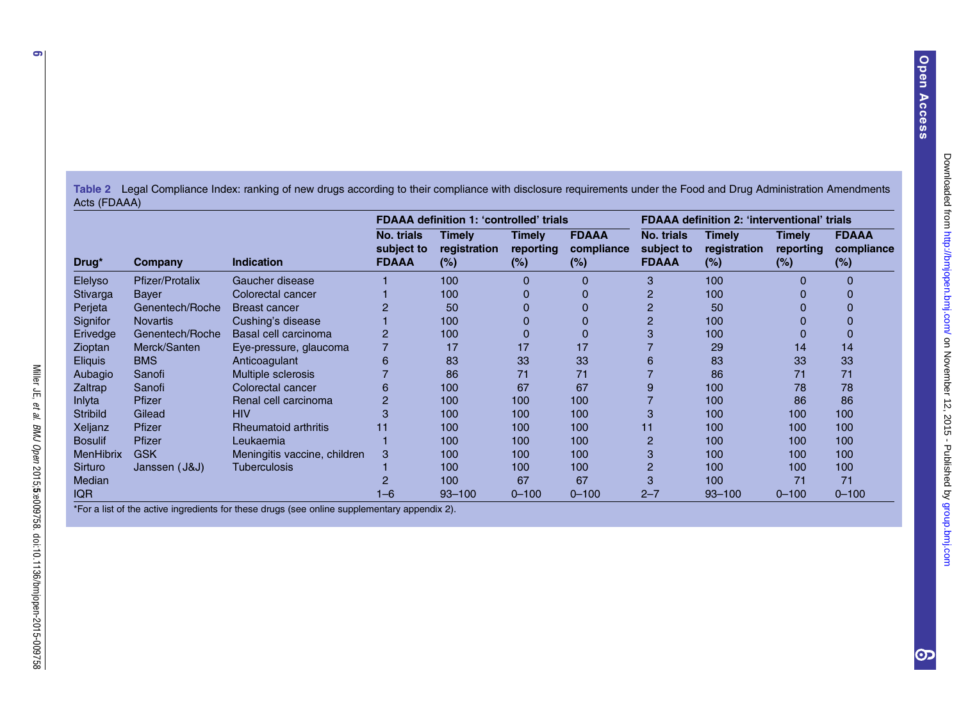Table 2 Legal Compliance Index: ranking of new drugs according to their compliance with disclosure requirements under the Food and Drug Administration Amendments Acts (FDAAA)

|                 |                        |                              | <b>FDAAA definition 1: 'controlled' trials</b>  |                                  |                                   |                                      | <b>FDAAA definition 2: 'interventional' trials</b> |                                  |                            |                                      |
|-----------------|------------------------|------------------------------|-------------------------------------------------|----------------------------------|-----------------------------------|--------------------------------------|----------------------------------------------------|----------------------------------|----------------------------|--------------------------------------|
| Drug*           | Company                | Indication                   | <b>No. trials</b><br>subject to<br><b>FDAAA</b> | Timely<br>registration<br>$(\%)$ | <b>Timely</b><br>reporting<br>(%) | <b>FDAAA</b><br>compliance<br>$(\%)$ | No. trials<br>subject to<br><b>FDAAA</b>           | Timely<br>registration<br>$(\%)$ | Timely<br>reporting<br>(%) | <b>FDAAA</b><br>compliance<br>$(\%)$ |
| Elelyso         | <b>Pfizer/Protalix</b> | Gaucher disease              |                                                 | 100                              | $\Omega$                          | 0                                    | 3                                                  | 100                              | $\Omega$                   | $\Omega$                             |
| Stivarga        | <b>Bayer</b>           | Colorectal cancer            |                                                 | 100                              |                                   | 0                                    | 2                                                  | 100                              |                            |                                      |
| Perjeta         | Genentech/Roche        | <b>Breast cancer</b>         |                                                 | 50                               | $\Omega$                          | 0                                    | 2                                                  | 50                               |                            |                                      |
| Signifor        | <b>Novartis</b>        | Cushing's disease            |                                                 | 100                              |                                   | 0                                    | $\overline{2}$                                     | 100                              |                            |                                      |
| Erivedge        | Genentech/Roche        | Basal cell carcinoma         |                                                 | 100                              |                                   | 0                                    | 3                                                  | 100                              |                            |                                      |
| Zioptan         | Merck/Santen           | Eye-pressure, glaucoma       |                                                 | 17                               | 17                                | 17                                   |                                                    | 29                               | 14                         | 14                                   |
| <b>Eliquis</b>  | <b>BMS</b>             | Anticoagulant                | 6                                               | 83                               | 33                                | 33                                   | 6                                                  | 83                               | 33                         | 33                                   |
| Aubagio         | Sanofi                 | Multiple sclerosis           |                                                 | 86                               | 71                                | 71                                   |                                                    | 86                               | 71                         | 71                                   |
| Zaltrap         | Sanofi                 | Colorectal cancer            | 6                                               | 100                              | 67                                | 67                                   | 9                                                  | 100                              | 78                         | 78                                   |
| Inlyta          | <b>Pfizer</b>          | Renal cell carcinoma         | 2                                               | 100                              | 100                               | 100                                  |                                                    | 100                              | 86                         | 86                                   |
| <b>Stribild</b> | Gilead                 | <b>HIV</b>                   | 3                                               | 100                              | 100                               | 100                                  | 3                                                  | 100                              | 100                        | 100                                  |
| Xeljanz         | Pfizer                 | <b>Rheumatoid arthritis</b>  | 11                                              | 100                              | 100                               | 100                                  | 11                                                 | 100                              | 100                        | 100                                  |
| <b>Bosulif</b>  | <b>Pfizer</b>          | Leukaemia                    |                                                 | 100                              | 100                               | 100                                  | 2                                                  | 100                              | 100                        | 100                                  |
| MenHibrix       | <b>GSK</b>             | Meningitis vaccine, children |                                                 | 100                              | 100                               | 100                                  | 3                                                  | 100                              | 100                        | 100                                  |
| Sirturo         | Janssen (J&J)          | <b>Tuberculosis</b>          |                                                 | 100                              | 100                               | 100                                  | 2                                                  | 100                              | 100                        | 100                                  |
| <b>Median</b>   |                        |                              |                                                 | 100                              | 67                                | 67                                   | 3                                                  | 100                              | 71                         | 71                                   |
| <b>IQR</b>      |                        |                              | $1 - 6$                                         | $93 - 100$                       | $0 - 100$                         | $0 - 100$                            | $2 - 7$                                            | $93 - 100$                       | $0 - 100$                  | $0 - 100$                            |

\*For <sup>a</sup> list of the active ingredients for these drugs (see online supplementary appendix 2).

<span id="page-5-0"></span> $\sigma$ 

Downloaded from http://bmjopen.bmj.com/ on November 12, 2015 - Published by [group.bmj.com](http://group.bmj.com)

Downloaded from http://bmjopen.bmj.com/ on November 12, 2015 - Published by group.bmj.com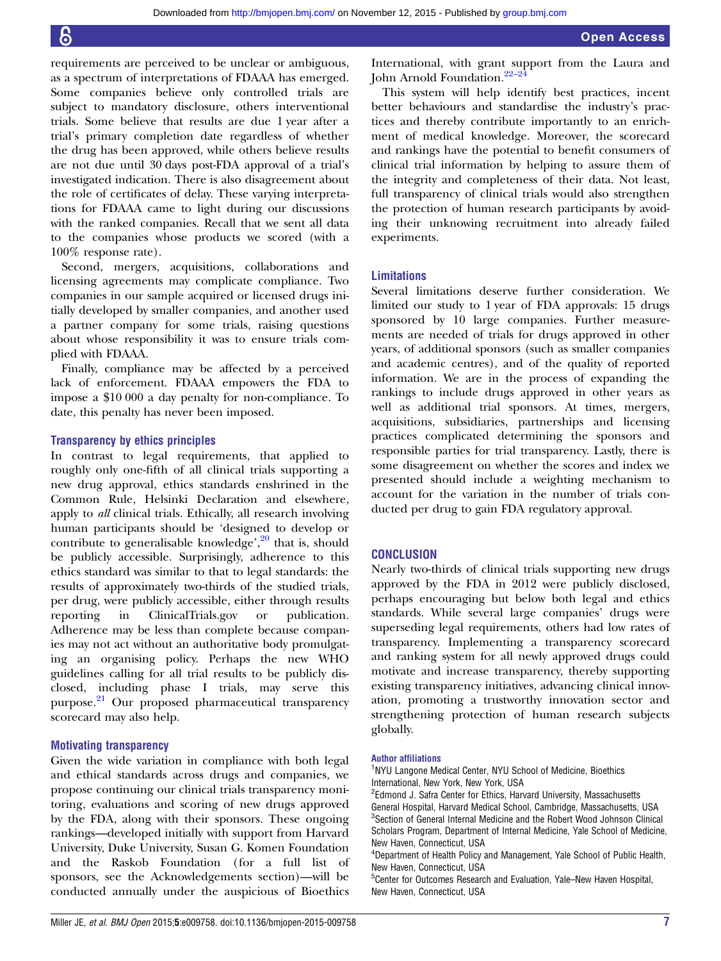requirements are perceived to be unclear or ambiguous, as a spectrum of interpretations of FDAAA has emerged. Some companies believe only controlled trials are subject to mandatory disclosure, others interventional trials. Some believe that results are due 1 year after a trial's primary completion date regardless of whether the drug has been approved, while others believe results are not due until 30 days post-FDA approval of a trial's investigated indication. There is also disagreement about the role of certificates of delay. These varying interpretations for FDAAA came to light during our discussions with the ranked companies. Recall that we sent all data to the companies whose products we scored (with a 100% response rate).

Second, mergers, acquisitions, collaborations and licensing agreements may complicate compliance. Two companies in our sample acquired or licensed drugs initially developed by smaller companies, and another used a partner company for some trials, raising questions about whose responsibility it was to ensure trials complied with FDAAA.

Finally, compliance may be affected by a perceived lack of enforcement. FDAAA empowers the FDA to impose a \$10 000 a day penalty for non-compliance. To date, this penalty has never been imposed.

#### Transparency by ethics principles

In contrast to legal requirements, that applied to roughly only one-fifth of all clinical trials supporting a new drug approval, ethics standards enshrined in the Common Rule, Helsinki Declaration and elsewhere, apply to all clinical trials. Ethically, all research involving human participants should be 'designed to develop or contribute to generalisable knowledge',<sup>[20](#page-7-0)</sup> that is, should be publicly accessible. Surprisingly, adherence to this ethics standard was similar to that to legal standards: the results of approximately two-thirds of the studied trials, per drug, were publicly accessible, either through results reporting in ClinicalTrials.gov or publication. Adherence may be less than complete because companies may not act without an authoritative body promulgating an organising policy. Perhaps the new WHO guidelines calling for all trial results to be publicly disclosed, including phase I trials, may serve this purpose.<sup>[21](#page-7-0)</sup> Our proposed pharmaceutical transparency scorecard may also help.

#### Motivating transparency

Given the wide variation in compliance with both legal and ethical standards across drugs and companies, we propose continuing our clinical trials transparency monitoring, evaluations and scoring of new drugs approved by the FDA, along with their sponsors. These ongoing rankings—developed initially with support from Harvard University, Duke University, Susan G. Komen Foundation and the Raskob Foundation (for a full list of sponsors, see the Acknowledgements section)—will be conducted annually under the auspicious of Bioethics

International, with grant support from the Laura and John Arnold Foundation.<sup>[22](#page-7-0)-24</sup>

This system will help identify best practices, incent better behaviours and standardise the industry's practices and thereby contribute importantly to an enrichment of medical knowledge. Moreover, the scorecard and rankings have the potential to benefit consumers of clinical trial information by helping to assure them of the integrity and completeness of their data. Not least, full transparency of clinical trials would also strengthen the protection of human research participants by avoiding their unknowing recruitment into already failed experiments.

#### Limitations

Several limitations deserve further consideration. We limited our study to 1 year of FDA approvals: 15 drugs sponsored by 10 large companies. Further measurements are needed of trials for drugs approved in other years, of additional sponsors (such as smaller companies and academic centres), and of the quality of reported information. We are in the process of expanding the rankings to include drugs approved in other years as well as additional trial sponsors. At times, mergers, acquisitions, subsidiaries, partnerships and licensing practices complicated determining the sponsors and responsible parties for trial transparency. Lastly, there is some disagreement on whether the scores and index we presented should include a weighting mechanism to account for the variation in the number of trials conducted per drug to gain FDA regulatory approval.

#### **CONCLUSION**

Nearly two-thirds of clinical trials supporting new drugs approved by the FDA in 2012 were publicly disclosed, perhaps encouraging but below both legal and ethics standards. While several large companies' drugs were superseding legal requirements, others had low rates of transparency. Implementing a transparency scorecard and ranking system for all newly approved drugs could motivate and increase transparency, thereby supporting existing transparency initiatives, advancing clinical innovation, promoting a trustworthy innovation sector and strengthening protection of human research subjects globally.

#### Author affiliations

<sup>1</sup>NYU Langone Medical Center, NYU School of Medicine, Bioethics International, New York, New York, USA

<sup>2</sup>Edmond J. Safra Center for Ethics, Harvard University, Massachusetts General Hospital, Harvard Medical School, Cambridge, Massachusetts, USA <sup>3</sup>Section of General Internal Medicine and the Robert Wood Johnson Clinical Scholars Program, Department of Internal Medicine, Yale School of Medicine, New Haven, Connecticut, USA

<sup>4</sup>Department of Health Policy and Management, Yale School of Public Health, New Haven, Connecticut, USA

5 Center for Outcomes Research and Evaluation, Yale–New Haven Hospital, New Haven, Connecticut, USA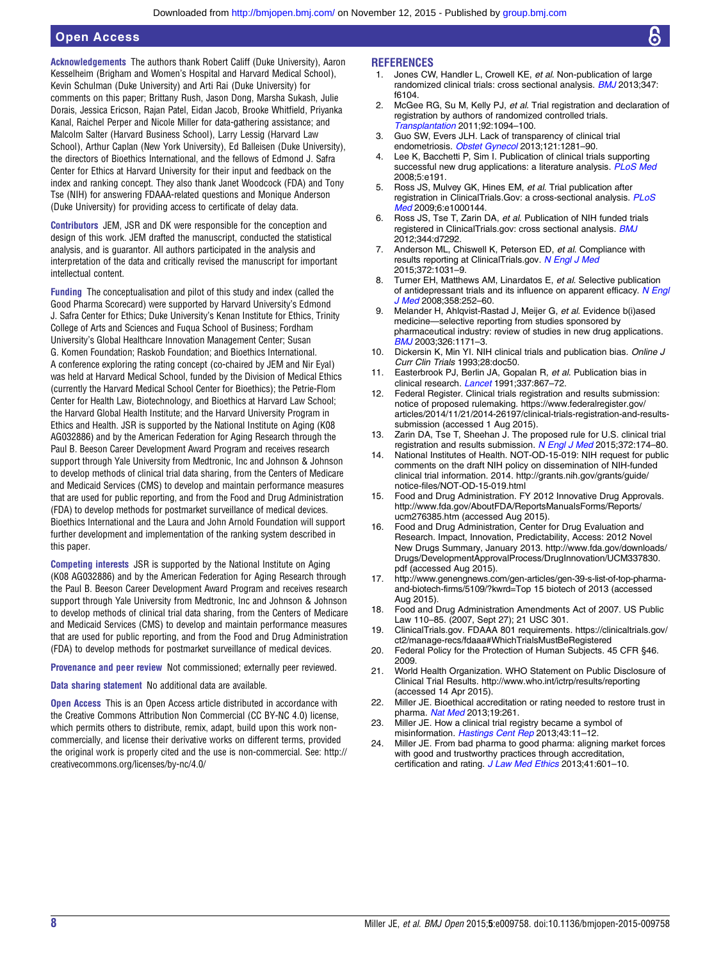# <span id="page-7-0"></span>Open Access

Acknowledgements The authors thank Robert Califf (Duke University), Aaron Kesselheim (Brigham and Women's Hospital and Harvard Medical School), Kevin Schulman (Duke University) and Arti Rai (Duke University) for comments on this paper; Brittany Rush, Jason Dong, Marsha Sukash, Julie Dorais, Jessica Ericson, Rajan Patel, Eidan Jacob, Brooke Whitfield, Priyanka Kanal, Raichel Perper and Nicole Miller for data-gathering assistance; and Malcolm Salter (Harvard Business School), Larry Lessig (Harvard Law School), Arthur Caplan (New York University), Ed Balleisen (Duke University), the directors of Bioethics International, and the fellows of Edmond J. Safra Center for Ethics at Harvard University for their input and feedback on the index and ranking concept. They also thank Janet Woodcock (FDA) and Tony Tse (NIH) for answering FDAAA-related questions and Monique Anderson (Duke University) for providing access to certificate of delay data.

Contributors JEM, JSR and DK were responsible for the conception and design of this work. JEM drafted the manuscript, conducted the statistical analysis, and is guarantor. All authors participated in the analysis and interpretation of the data and critically revised the manuscript for important intellectual content.

Funding The conceptualisation and pilot of this study and index (called the Good Pharma Scorecard) were supported by Harvard University's Edmond J. Safra Center for Ethics; Duke University's Kenan Institute for Ethics, Trinity College of Arts and Sciences and Fuqua School of Business; Fordham University's Global Healthcare Innovation Management Center; Susan G. Komen Foundation; Raskob Foundation; and Bioethics International. A conference exploring the rating concept (co-chaired by JEM and Nir Eyal) was held at Harvard Medical School, funded by the Division of Medical Ethics (currently the Harvard Medical School Center for Bioethics); the Petrie-Flom Center for Health Law, Biotechnology, and Bioethics at Harvard Law School; the Harvard Global Health Institute; and the Harvard University Program in Ethics and Health. JSR is supported by the National Institute on Aging (K08 AG032886) and by the American Federation for Aging Research through the Paul B. Beeson Career Development Award Program and receives research support through Yale University from Medtronic, Inc and Johnson & Johnson to develop methods of clinical trial data sharing, from the Centers of Medicare and Medicaid Services (CMS) to develop and maintain performance measures that are used for public reporting, and from the Food and Drug Administration (FDA) to develop methods for postmarket surveillance of medical devices. Bioethics International and the Laura and John Arnold Foundation will support further development and implementation of the ranking system described in this paper.

Competing interests JSR is supported by the National Institute on Aging (K08 AG032886) and by the American Federation for Aging Research through the Paul B. Beeson Career Development Award Program and receives research support through Yale University from Medtronic, Inc and Johnson & Johnson to develop methods of clinical trial data sharing, from the Centers of Medicare and Medicaid Services (CMS) to develop and maintain performance measures that are used for public reporting, and from the Food and Drug Administration (FDA) to develop methods for postmarket surveillance of medical devices.

Provenance and peer review Not commissioned; externally peer reviewed.

Data sharing statement No additional data are available.

Open Access This is an Open Access article distributed in accordance with the Creative Commons Attribution Non Commercial (CC BY-NC 4.0) license, which permits others to distribute, remix, adapt, build upon this work noncommercially, and license their derivative works on different terms, provided the original work is properly cited and the use is non-commercial. See: [http://](http://creativecommons.org/licenses/by-nc/4.0/) [creativecommons.org/licenses/by-nc/4.0/](http://creativecommons.org/licenses/by-nc/4.0/)

#### REFERENCES

- 1. Jones CW, Handler L, Crowell KE, et al. Non-publication of large randomized clinical trials: cross sectional analysis. **[BMJ](http://dx.doi.org/10.1136/bmj.f6104)** 2013;347: f6104.
- 2. McGee RG, Su M, Kelly PJ, et al. Trial registration and declaration of registration by authors of randomized controlled trials. [Transplantation](http://dx.doi.org/10.1097/TP.0b013e318232baf2) 2011;92:1094–100.
- 3. Guo SW, Evers JLH. Lack of transparency of clinical trial endometriosis. [Obstet Gynecol](http://dx.doi.org/10.1097/AOG.0b013e318291f299) 2013;121:1281–90.
- Lee K, Bacchetti P, Sim I. Publication of clinical trials supporting successful new drug applications: a literature analysis. [PLoS Med](http://dx.doi.org/10.1371/journal.pmed.0050191) 2008;5:e191.
- 5. Ross JS, Mulvey GK, Hines EM, et al. Trial publication after registration in ClinicalTrials.Gov: a cross-sectional analysis. [PLoS](http://dx.doi.org/10.1371/journal.pmed.1000144) [Med](http://dx.doi.org/10.1371/journal.pmed.1000144) 2009;6:e1000144.
- 6. Ross JS, Tse T, Zarin DA, et al. Publication of NIH funded trials registered in ClinicalTrials.gov: cross sectional analysis. **[BMJ](http://dx.doi.org/10.1136/bmj.d7292)** 2012;344:d7292.
- 7. Anderson ML, Chiswell K, Peterson ED, et al. Compliance with results reporting at ClinicalTrials.gov. [N Engl J Med](http://dx.doi.org/10.1056/NEJMsa1409364) 2015;372:1031–9.
- 8. Turner EH, Matthews AM, Linardatos E, et al. Selective publication of antidepressant trials and its influence on apparent efficacy. [N Engl](http://dx.doi.org/10.1056/NEJMsa065779) [J Med](http://dx.doi.org/10.1056/NEJMsa065779) 2008;358:252-60.
- 9. Melander H, Ahlqvist-Rastad J, Meijer G, et al. Evidence b(i)ased medicine—selective reporting from studies sponsored by pharmaceutical industry: review of studies in new drug applications. [BMJ](http://dx.doi.org/10.1136/bmj.326.7400.1171) 2003;326:1171–3.
- 10. Dickersin K, Min YI. NIH clinical trials and publication bias. Online J Curr Clin Trials 1993;28:doc50.
- 11. Easterbrook PJ, Berlin JA, Gopalan R, et al. Publication bias in clinical research. [Lancet](http://dx.doi.org/10.1016/0140-6736(91)90201-Y) 1991;337:867-72.
- 12. Federal Register. Clinical trials registration and results submission: notice of proposed rulemaking. [https://www.federalregister.gov/](https://www.federalregister.gov/articles/2014/11/21/2014-26197/clinical-trials-registration-and-results-submission) [articles/2014/11/21/2014-26197/clinical-trials-registration-and-results](https://www.federalregister.gov/articles/2014/11/21/2014-26197/clinical-trials-registration-and-results-submission)[submission](https://www.federalregister.gov/articles/2014/11/21/2014-26197/clinical-trials-registration-and-results-submission) (accessed 1 Aug 2015).
- 13. Zarin DA, Tse T, Sheehan J. The proposed rule for U.S. clinical trial registration and results submission. [N Engl J Med](http://dx.doi.org/10.1056/NEJMsr1414226) 2015;372:174–80.
- 14. National Institutes of Health. NOT-OD-15-019: NIH request for public comments on the draft NIH policy on dissemination of NIH-funded clinical trial information. 2014. [http://grants.nih.gov/grants/guide/](http://grants.nih.gov/grants/guide/notice-files/NOT-OD-15-019.html) [notice-files/NOT-OD-15-019.html](http://grants.nih.gov/grants/guide/notice-files/NOT-OD-15-019.html)
- 15. Food and Drug Administration. FY 2012 Innovative Drug Approvals. [http://www.fda.gov/AboutFDA/ReportsManualsForms/Reports/](http://www.fda.gov/AboutFDA/ReportsManualsForms/Reports/ucm276385.htm) [ucm276385.htm](http://www.fda.gov/AboutFDA/ReportsManualsForms/Reports/ucm276385.htm) (accessed Aug 2015).
- 16. Food and Drug Administration, Center for Drug Evaluation and Research. Impact, Innovation, Predictability, Access: 2012 Novel New Drugs Summary, January 2013. [http://www.fda.gov/downloads/](http://www.fda.gov/downloads/Drugs/DevelopmentApprovalProcess/DrugInnovation/UCM337830.pdf) [Drugs/DevelopmentApprovalProcess/DrugInnovation/UCM337830.](http://www.fda.gov/downloads/Drugs/DevelopmentApprovalProcess/DrugInnovation/UCM337830.pdf) [pdf](http://www.fda.gov/downloads/Drugs/DevelopmentApprovalProcess/DrugInnovation/UCM337830.pdf) (accessed Aug 2015).
- 17. [http://www.genengnews.com/gen-articles/gen-39-s-list-of-top-pharma](http://www.genengnews.com/gen-articles/gen-39-s-list-of-top-pharma-and-biotech-firms/5109/?kwrd=)[and-biotech-firms/5109/?kwrd=](http://www.genengnews.com/gen-articles/gen-39-s-list-of-top-pharma-and-biotech-firms/5109/?kwrd=)Top 15 biotech of 2013 (accessed Aug 2015).
- 18. Food and Drug Administration Amendments Act of 2007. US Public Law 110–85. (2007, Sept 27); 21 USC 301.
- 19. ClinicalTrials.gov. FDAAA 801 requirements. [https://clinicaltrials.gov/](https://clinicaltrials.gov/ct2/manage-recs/fdaaa#WhichTrialsMustBeRegistered) [ct2/manage-recs/fdaaa#WhichTrialsMustBeRegistered](https://clinicaltrials.gov/ct2/manage-recs/fdaaa#WhichTrialsMustBeRegistered)
- 20. Federal Policy for the Protection of Human Subjects. 45 CFR §46. 2009.
- 21. World Health Organization. WHO Statement on Public Disclosure of Clinical Trial Results.<http://www.who.int/ictrp/results/reporting> (accessed 14 Apr 2015).
- 22. Miller JE. Bioethical accreditation or rating needed to restore trust in pharma. [Nat Med](http://dx.doi.org/10.1038/nm0313-261) 2013;19:261.
- 23. Miller JE. How a clinical trial registry became a symbol of misinformation. [Hastings Cent Rep](http://dx.doi.org/10.1002/hast.226) 2013;43:11-12.
- 24. Miller JE. From bad pharma to good pharma: aligning market forces with good and trustworthy practices through accreditation, certification and rating. [J Law Med Ethics](http://dx.doi.org/10.1111/jlme.12069) 2013;41:601-10.